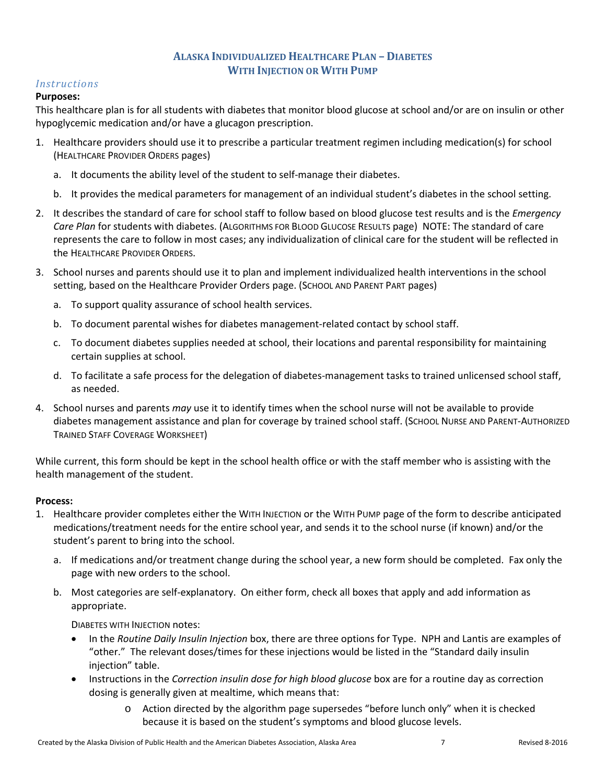## **ALASKA INDIVIDUALIZED HEALTHCARE PLAN – DIABETES WITH INJECTION OR WITH PUMP**

## *Instructions*

## **Purposes:**

This healthcare plan is for all students with diabetes that monitor blood glucose at school and/or are on insulin or other hypoglycemic medication and/or have a glucagon prescription.

- 1. Healthcare providers should use it to prescribe a particular treatment regimen including medication(s) for school (HEALTHCARE PROVIDER ORDERS pages)
	- a. It documents the ability level of the student to self-manage their diabetes.
	- b. It provides the medical parameters for management of an individual student's diabetes in the school setting.
- 2. It describes the standard of care for school staff to follow based on blood glucose test results and is the *Emergency Care Plan* for students with diabetes. (ALGORITHMS FOR BLOOD GLUCOSE RESULTS page) NOTE: The standard of care represents the care to follow in most cases; any individualization of clinical care for the student will be reflected in the HEALTHCARE PROVIDER ORDERS.
- 3. School nurses and parents should use it to plan and implement individualized health interventions in the school setting, based on the Healthcare Provider Orders page. (SCHOOL AND PARENT PART pages)
	- a. To support quality assurance of school health services.
	- b. To document parental wishes for diabetes management-related contact by school staff.
	- c. To document diabetes supplies needed at school, their locations and parental responsibility for maintaining certain supplies at school.
	- d. To facilitate a safe process for the delegation of diabetes-management tasks to trained unlicensed school staff, as needed.
- 4. School nurses and parents *may* use it to identify times when the school nurse will not be available to provide diabetes management assistance and plan for coverage by trained school staff. (SCHOOL NURSE AND PARENT-AUTHORIZED TRAINED STAFF COVERAGE WORKSHEET)

While current, this form should be kept in the school health office or with the staff member who is assisting with the health management of the student.

## **Process:**

- 1. Healthcare provider completes either the WITH INJECTION or the WITH PUMP page of the form to describe anticipated medications/treatment needs for the entire school year, and sends it to the school nurse (if known) and/or the student's parent to bring into the school.
	- a. If medications and/or treatment change during the school year, a new form should be completed. Fax only the page with new orders to the school.
	- b. Most categories are self-explanatory. On either form, check all boxes that apply and add information as appropriate.

DIABETES WITH INJECTION notes:

- In the *Routine Daily Insulin Injection* box, there are three options for Type. NPH and Lantis are examples of "other." The relevant doses/times for these injections would be listed in the "Standard daily insulin injection" table.
- Instructions in the *Correction insulin dose for high blood glucose* box are for a routine day as correction dosing is generally given at mealtime, which means that:
	- o Action directed by the algorithm page supersedes "before lunch only" when it is checked because it is based on the student's symptoms and blood glucose levels.